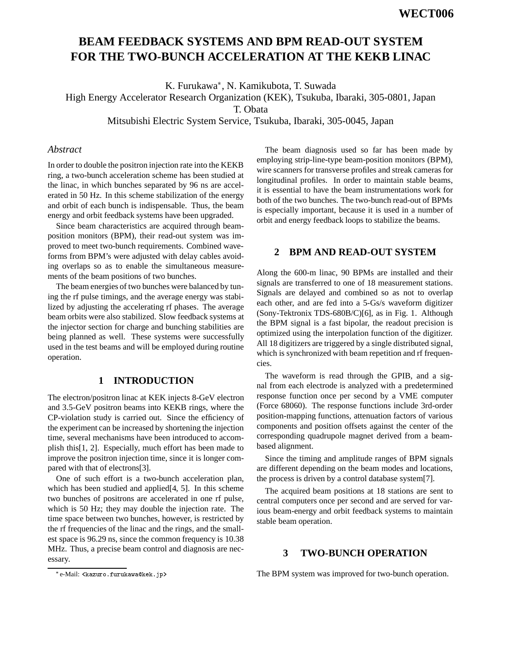# **BEAM FEEDBACK SYSTEMS AND BPM READ-OUT SYSTEM FOR THE TWO-BUNCH ACCELERATION AT THE KEKB LINAC**

K. Furukawa\*, N. Kamikubota, T. Suwada

High Energy Accelerator Research Organization (KEK), Tsukuba, Ibaraki, 305-0801, Japan

T. Obata

Mitsubishi Electric System Service, Tsukuba, Ibaraki, 305-0045, Japan

## *Abstract*

In order to double the positron injection rate into the KEKB ring, a two-bunch acceleration scheme has been studied at the linac, in which bunches separated by 96 ns are accelerated in 50 Hz. In this scheme stabilization of the energy and orbit of each bunch is indispensable. Thus, the beam energy and orbit feedback systems have been upgraded.

Since beam characteristics are acquired through beamposition monitors (BPM), their read-out system was improved to meet two-bunch requirements. Combined waveforms from BPM's were adjusted with delay cables avoiding overlaps so as to enable the simultaneous measurements of the beam positions of two bunches.

The beam energies of two bunches were balanced by tuning the rf pulse timings, and the average energy was stabilized by adjusting the accelerating rf phases. The average beam orbits were also stabilized. Slow feedback systems at the injector section for charge and bunching stabilities are being planned as well. These systems were successfully used in the test beams and will be employed during routine operation.

## **1 INTRODUCTION**

The electron/positron linac at KEK injects 8-GeV electron and 3.5-GeV positron beams into KEKB rings, where the CP-violation study is carried out. Since the efficiency of the experiment can be increased by shortening the injection time, several mechanisms have been introduced to accomplish this[1, 2]. Especially, much effort has been made to improve the positron injection time, since it is longer compared with that of electrons[3].

One of such effort is a two-bunch acceleration plan, which has been studied and applied[4, 5]. In this scheme two bunches of positrons are accelerated in one rf pulse, which is 50 Hz; they may double the injection rate. The time space between two bunches, however, is restricted by the rf frequencies of the linac and the rings, and the smallest space is 96.29 ns, since the common frequency is 10.38 MHz. Thus, a precise beam control and diagnosis are necessary.

The beam diagnosis used so far has been made by employing strip-line-type beam-position monitors (BPM), wire scanners for transverse profiles and streak cameras for longitudinal profiles. In order to maintain stable beams, it is essential to have the beam instrumentations work for both of the two bunches. The two-bunch read-out of BPMs is especially important, because it is used in a number of orbit and energy feedback loops to stabilize the beams.

# **2 BPM AND READ-OUT SYSTEM**

Along the 600-m linac, 90 BPMs are installed and their signals are transferred to one of 18 measurement stations. Signals are delayed and combined so as not to overlap each other, and are fed into a 5-Gs/s waveform digitizer (Sony-Tektronix TDS-680B/C)[6], as in Fig. 1. Although the BPM signal is a fast bipolar, the readout precision is optimized using the interpolation function of the digitizer. All 18 digitizers are triggered by a single distributed signal, which is synchronized with beam repetition and rf frequencies.

The waveform is read through the GPIB, and a signal from each electrode is analyzed with a predetermined response function once per second by a VME computer (Force 68060). The response functions include 3rd-order position-mapping functions, attenuation factors of various components and position offsets against the center of the corresponding quadrupole magnet derived from a beambased alignment.

Since the timing and amplitude ranges of BPM signals are different depending on the beam modes and locations, the process is driven by a control database system[7].

The acquired beam positions at 18 stations are sent to central computers once per second and are served for various beam-energy and orbit feedback systems to maintain stable beam operation.

## **3 TWO-BUNCH OPERATION**

The BPM system was improved for two-bunch operation.

e-Mail: <kazuro.furukawa@kek.jp>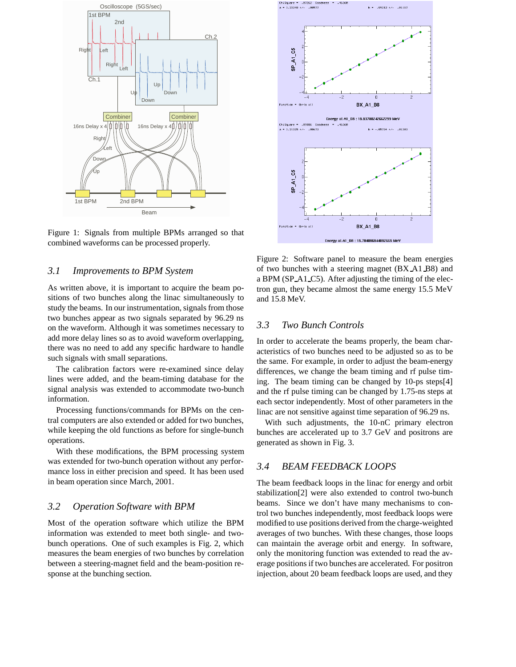

Figure 1: Signals from multiple BPMs arranged so that combined waveforms can be processed properly.

#### *3.1 Improvements to BPM System*

As written above, it is important to acquire the beam positions of two bunches along the linac simultaneously to study the beams. In our instrumentation, signals from those two bunches appear as two signals separated by 96.29 ns on the waveform. Although it was sometimes necessary to add more delay lines so as to avoid waveform overlapping, there was no need to add any specific hardware to handle such signals with small separations.

The calibration factors were re-examined since delay lines were added, and the beam-timing database for the signal analysis was extended to accommodate two-bunch information.

Processing functions/commands for BPMs on the central computers are also extended or added for two bunches, while keeping the old functions as before for single-bunch operations.

With these modifications, the BPM processing system was extended for two-bunch operation without any performance loss in either precision and speed. It has been used in beam operation since March, 2001.

#### *3.2 Operation Software with BPM*

Most of the operation software which utilize the BPM information was extended to meet both single- and twobunch operations. One of such examples is Fig. 2, which measures the beam energies of two bunches by correlation between a steering-magnet field and the beam-position response at the bunching section.



Figure 2: Software panel to measure the beam energies of two bunches with a steering magnet (BX A1 B8) and a BPM (SP A1 C5). After adjusting the timing of the electron gun, they became almost the same energy 15.5 MeV and 15.8 MeV.

## *3.3 Two Bunch Controls*

In order to accelerate the beams properly, the beam characteristics of two bunches need to be adjusted so as to be the same. For example, in order to adjust the beam-energy differences, we change the beam timing and rf pulse timing. The beam timing can be changed by 10-ps steps[4] and the rf pulse timing can be changed by 1.75-ns steps at each sector independently. Most of other parameters in the linac are not sensitive against time separation of 96.29 ns.

With such adjustments, the 10-nC primary electron bunches are accelerated up to 3.7 GeV and positrons are generated as shown in Fig. 3.

#### *3.4 BEAM FEEDBACK LOOPS*

The beam feedback loops in the linac for energy and orbit stabilization[2] were also extended to control two-bunch beams. Since we don't have many mechanisms to control two bunches independently, most feedback loops were modified to use positions derived from the charge-weighted averages of two bunches. With these changes, those loops can maintain the average orbit and energy. In software, only the monitoring function was extended to read the average positions if two bunches are accelerated. For positron injection, about 20 beam feedback loops are used, and they